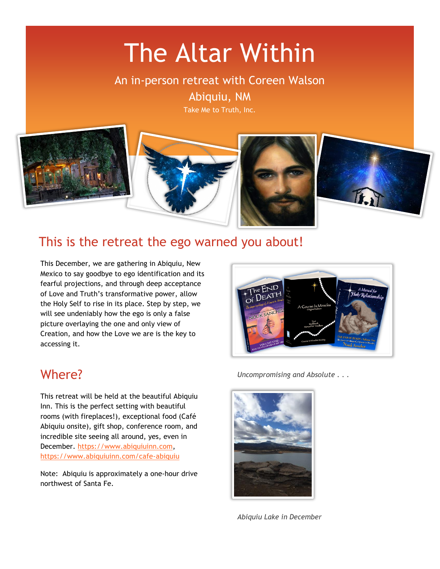# The Altar Within

An in-person retreat with Coreen Walson

Abiquiu, NM

Take Me to Truth, Inc.



# This is the retreat the ego warned you about!

This December, we are gathering in Abiquiu, New Mexico to say goodbye to ego identification and its fearful projections, and through deep acceptance of Love and Truth's transformative power, allow the Holy Self to rise in its place. Step by step, we will see undeniably how the ego is only a false picture overlaying the one and only view of Creation, and how the Love we are is the key to accessing it.

### Where?

This retreat will be held at the beautiful Abiquiu Inn. This is the perfect setting with beautiful rooms (with fireplaces!), exceptional food (Café Abiquiu onsite), gift shop, conference room, and incredible site seeing all around, yes, even in December. [https://www.abiquiuinn.com,](https://www.abiquiuinn.com/) <https://www.abiquiuinn.com/cafe-abiquiu>

Note: Abiquiu is approximately a one-hour drive northwest of Santa Fe.



*Uncompromising and Absolute . . .*



*Abiquiu Lake in December*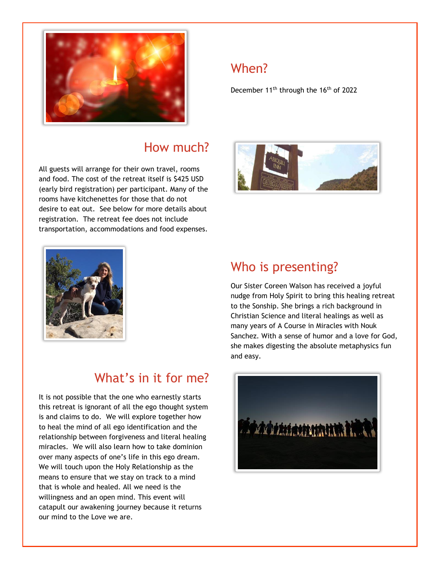

# How much?

All guests will arrange for their own travel, rooms and food. The cost of the retreat itself is \$425 USD (early bird registration) per participant. Many of the rooms have kitchenettes for those that do not desire to eat out. See below for more details about registration. The retreat fee does not include transportation, accommodations and food expenses.





# What's in it for me?

It is not possible that the one who earnestly starts this retreat is ignorant of all the ego thought system is and claims to do. We will explore together how to heal the mind of all ego identification and the relationship between forgiveness and literal healing miracles. We will also learn how to take dominion over many aspects of one's life in this ego dream. We will touch upon the Holy Relationship as the means to ensure that we stay on track to a mind that is whole and healed. All we need is the willingness and an open mind. This event will catapult our awakening journey because it returns our mind to the Love we are.

# Who is presenting?

Our Sister Coreen Walson has received a joyful nudge from Holy Spirit to bring this healing retreat to the Sonship. She brings a rich background in Christian Science and literal healings as well as many years of A Course in Miracles with Nouk Sanchez. With a sense of humor and a love for God, she makes digesting the absolute metaphysics fun and easy.



# When?

December 11<sup>th</sup> through the 16<sup>th</sup> of 2022